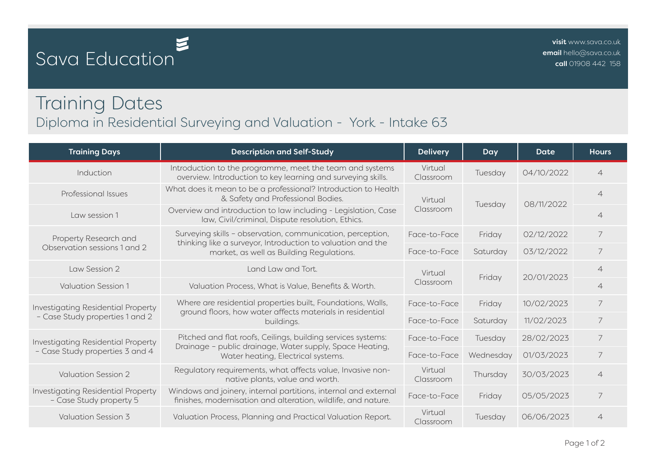## Sava Education

## Training Dates Diploma in Residential Surveying and Valuation - York - Intake 63

| <b>Training Days</b>                                                  | <b>Description and Self-Study</b>                                                                                                                                     | <b>Delivery</b>      | Day       | Date       | <b>Hours</b>   |
|-----------------------------------------------------------------------|-----------------------------------------------------------------------------------------------------------------------------------------------------------------------|----------------------|-----------|------------|----------------|
| Induction                                                             | Introduction to the programme, meet the team and systems<br>overview. Introduction to key learning and surveying skills.                                              | Virtual<br>Classroom | Tuesday   | 04/10/2022 | $\overline{4}$ |
| Professional Issues                                                   | What does it mean to be a professional? Introduction to Health<br>& Safety and Professional Bodies.                                                                   | Virtual<br>Classroom | Tuesday   | 08/11/2022 | $\overline{4}$ |
| Law session 1                                                         | Overview and introduction to law including - Legislation, Case<br>law, Civil/criminal, Dispute resolution, Ethics.                                                    |                      |           |            | $\overline{4}$ |
| Property Research and<br>Observation sessions 1 and 2                 | Surveying skills - observation, communication, perception,<br>thinking like a surveyor, Introduction to valuation and the<br>market, as well as Building Regulations. | Face-to-Face         | Friday    | 02/12/2022 | $\overline{7}$ |
|                                                                       |                                                                                                                                                                       | Face-to-Face         | Saturday  | 03/12/2022 | 7              |
| Law Session 2                                                         | Land Law and Tort.                                                                                                                                                    | Virtual<br>Classroom | Friday    | 20/01/2023 | $\overline{4}$ |
| Valuation Session 1                                                   | Valuation Process, What is Value, Benefits & Worth.                                                                                                                   |                      |           |            | $\overline{4}$ |
| Investigating Residential Property<br>- Case Study properties 1 and 2 | Where are residential properties built, Foundations, Walls,<br>ground floors, how water affects materials in residential<br>buildings.                                | Face-to-Face         | Friday    | 10/02/2023 | 7              |
|                                                                       |                                                                                                                                                                       | Face-to-Face         | Saturday  | 11/02/2023 | 7              |
| Investigating Residential Property<br>- Case Study properties 3 and 4 | Pitched and flat roofs, Ceilings, building services systems:<br>Drainage - public drainage, Water supply, Space Heating,<br>Water heating, Electrical systems.        | Face-to-Face         | Tuesday   | 28/02/2023 | 7              |
|                                                                       |                                                                                                                                                                       | Face-to-Face         | Wednesday | 01/03/2023 | 7              |
| <b>Valuation Session 2</b>                                            | Regulatory requirements, what affects value, Invasive non-<br>native plants, value and worth.                                                                         | Virtual<br>Classroom | Thursday  | 30/03/2023 | $\overline{4}$ |
| Investigating Residential Property<br>- Case Study property 5         | Windows and joinery, internal partitions, internal and external<br>finishes, modernisation and alteration, wildlife, and nature.                                      | Face-to-Face         | Friday    | 05/05/2023 | 7              |
| <b>Valuation Session 3</b>                                            | Valuation Process, Planning and Practical Valuation Report.                                                                                                           | Virtual<br>Classroom | Tuesday   | 06/06/2023 | $\overline{4}$ |